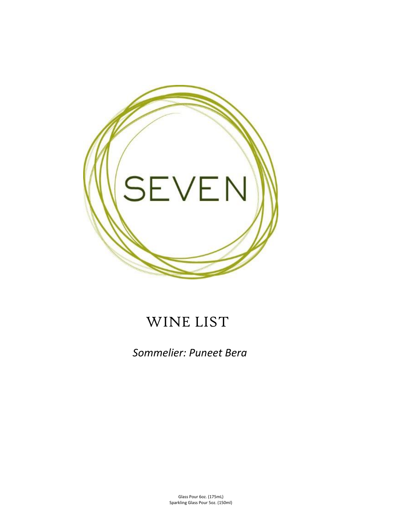

## WINE LIST

*Sommelier: Puneet Bera*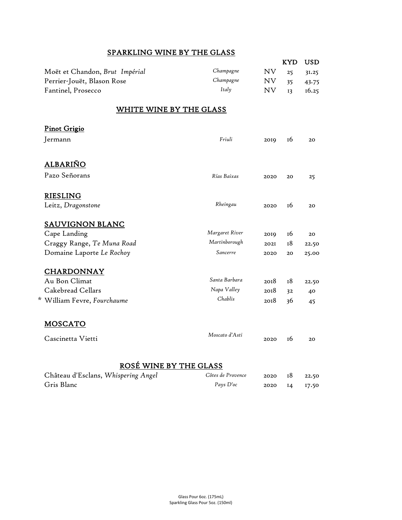## SPARKLING WINE BY THE GLASS

|                                |           |     | <b>KYD</b>     | <b>USD</b> |
|--------------------------------|-----------|-----|----------------|------------|
| Moët et Chandon, Brut Impérial | Champagne | NV. | 25             | 31.25      |
| Perrier-Jouët, Blason Rose     | Champagne | NV. | 35             | 43.75      |
| Fantinel, Prosecco             | Italy     | NV. | I <sub>3</sub> | 16.25      |

## WHITE WINE BY THE GLASS

| <b>Pinot Grigio</b>           |                |      |    |       |
|-------------------------------|----------------|------|----|-------|
| Jermann                       | Friuli         | 2019 | 16 | 20    |
|                               |                |      |    |       |
| <b>ALBARIÑO</b>               |                |      |    |       |
| Pazo Señorans                 | Rías Baixas    | 2020 | 20 | 25    |
|                               |                |      |    |       |
| <b>RIESLING</b>               |                |      |    |       |
| Leitz, Dragonstone            | Rheingau       | 2020 | 16 | 20    |
| <b>SAUVIGNON BLANC</b>        |                |      |    |       |
| Cape Landing                  | Margaret River | 2019 | 16 | 20    |
| Craggy Range, Te Muna Road    | Martinborough  | 2021 | 18 | 22.50 |
| Domaine Laporte Le Rochoy     | Sancerre       | 2020 | 20 | 25.00 |
| <b>CHARDONNAY</b>             |                |      |    |       |
| Au Bon Climat                 | Santa Barbara  | 2018 | 18 | 22.50 |
| Cakebread Cellars             | Napa Valley    | 2018 | 32 | 40    |
| * William Fevre, Fourchaume   | Chablis        | 2018 | 36 | 45    |
|                               |                |      |    |       |
| <b>MOSCATO</b>                |                |      |    |       |
| Cascinetta Vietti             | Moscato d'Asti | 2020 | 16 | 20    |
|                               |                |      |    |       |
| <b>ROSÉ WINE BY THE GLASS</b> |                |      |    |       |
|                               |                |      |    |       |

| Château d'Esclans, Whispering Angel | Côtes de Provence | 2020 18       | 22.50 |
|-------------------------------------|-------------------|---------------|-------|
| Gris Blanc                          | Pays D'oc         | 2020 I4 I7.50 |       |